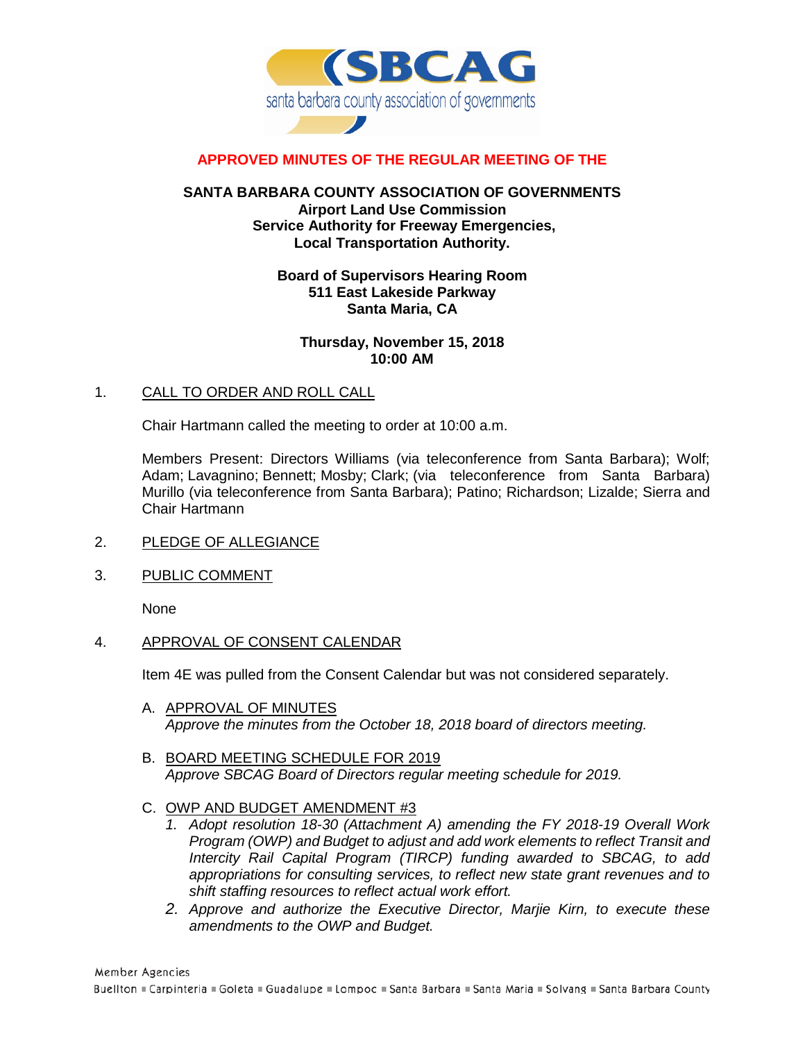

## **APPROVED MINUTES OF THE REGULAR MEETING OF THE**

#### **SANTA BARBARA COUNTY ASSOCIATION OF GOVERNMENTS Airport Land Use Commission Service Authority for Freeway Emergencies, Local Transportation Authority.**

## **Board of Supervisors Hearing Room 511 East Lakeside Parkway Santa Maria, CA**

## **Thursday, November 15, 2018 10:00 AM**

#### 1. CALL TO ORDER AND ROLL CALL

Chair Hartmann called the meeting to order at 10:00 a.m.

Members Present: Directors Williams (via teleconference from Santa Barbara); Wolf; Adam; Lavagnino; Bennett; Mosby; Clark; (via teleconference from Santa Barbara) Murillo (via teleconference from Santa Barbara); Patino; Richardson; Lizalde; Sierra and Chair Hartmann

- 2. PLEDGE OF ALLEGIANCE
- 3. PUBLIC COMMENT

None

4. APPROVAL OF CONSENT CALENDAR

Item 4E was pulled from the Consent Calendar but was not considered separately.

- A. APPROVAL OF MINUTES *Approve the minutes from the October 18, 2018 board of directors meeting.*
- B. BOARD MEETING SCHEDULE FOR 2019 *Approve SBCAG Board of Directors regular meeting schedule for 2019.*
- C. OWP AND BUDGET AMENDMENT #3
	- *1. Adopt resolution 18-30 (Attachment A) amending the FY 2018-19 Overall Work Program (OWP) and Budget to adjust and add work elements to reflect Transit and Intercity Rail Capital Program (TIRCP) funding awarded to SBCAG, to add appropriations for consulting services, to reflect new state grant revenues and to shift staffing resources to reflect actual work effort.*
	- *2. Approve and authorize the Executive Director, Marjie Kirn, to execute these amendments to the OWP and Budget.*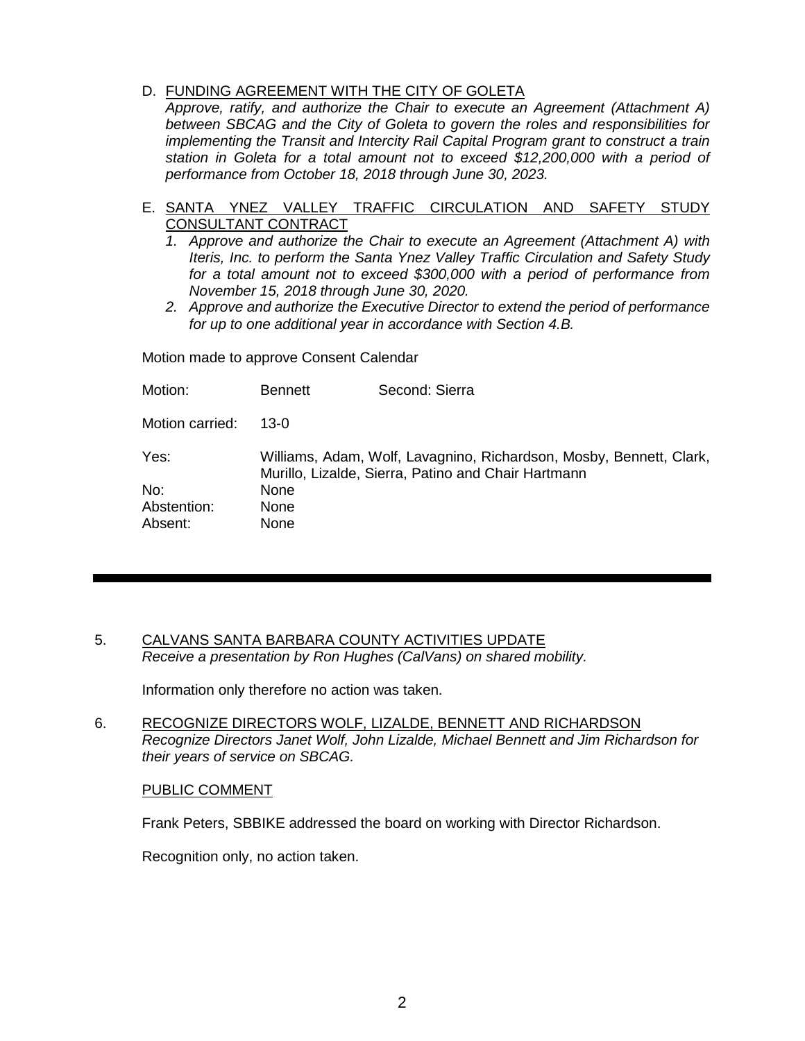## D. FUNDING AGREEMENT WITH THE CITY OF GOLETA

*Approve, ratify, and authorize the Chair to execute an Agreement (Attachment A) between SBCAG and the City of Goleta to govern the roles and responsibilities for implementing the Transit and Intercity Rail Capital Program grant to construct a train station in Goleta for a total amount not to exceed \$12,200,000 with a period of performance from October 18, 2018 through June 30, 2023.*

## E. SANTA YNEZ VALLEY TRAFFIC CIRCULATION AND SAFETY STUDY CONSULTANT CONTRACT

- *1. Approve and authorize the Chair to execute an Agreement (Attachment A) with Iteris, Inc. to perform the Santa Ynez Valley Traffic Circulation and Safety Study for a total amount not to exceed \$300,000 with a period of performance from November 15, 2018 through June 30, 2020.*
- *2. Approve and authorize the Executive Director to extend the period of performance for up to one additional year in accordance with Section 4.B.*

Motion made to approve Consent Calendar

| Motion:         | <b>Bennett</b> | Second: Sierra                                                                                                             |
|-----------------|----------------|----------------------------------------------------------------------------------------------------------------------------|
| Motion carried: | 13-0           |                                                                                                                            |
| Yes:            |                | Williams, Adam, Wolf, Lavagnino, Richardson, Mosby, Bennett, Clark,<br>Murillo, Lizalde, Sierra, Patino and Chair Hartmann |
| No:             | None           |                                                                                                                            |
| Abstention:     | None           |                                                                                                                            |
| Absent:         | None           |                                                                                                                            |

#### 5. CALVANS SANTA BARBARA COUNTY ACTIVITIES UPDATE *Receive a presentation by Ron Hughes (CalVans) on shared mobility.*

Information only therefore no action was taken.

6. RECOGNIZE DIRECTORS WOLF, LIZALDE, BENNETT AND RICHARDSON *Recognize Directors Janet Wolf, John Lizalde, Michael Bennett and Jim Richardson for their years of service on SBCAG.*

## PUBLIC COMMENT

Frank Peters, SBBIKE addressed the board on working with Director Richardson.

Recognition only, no action taken.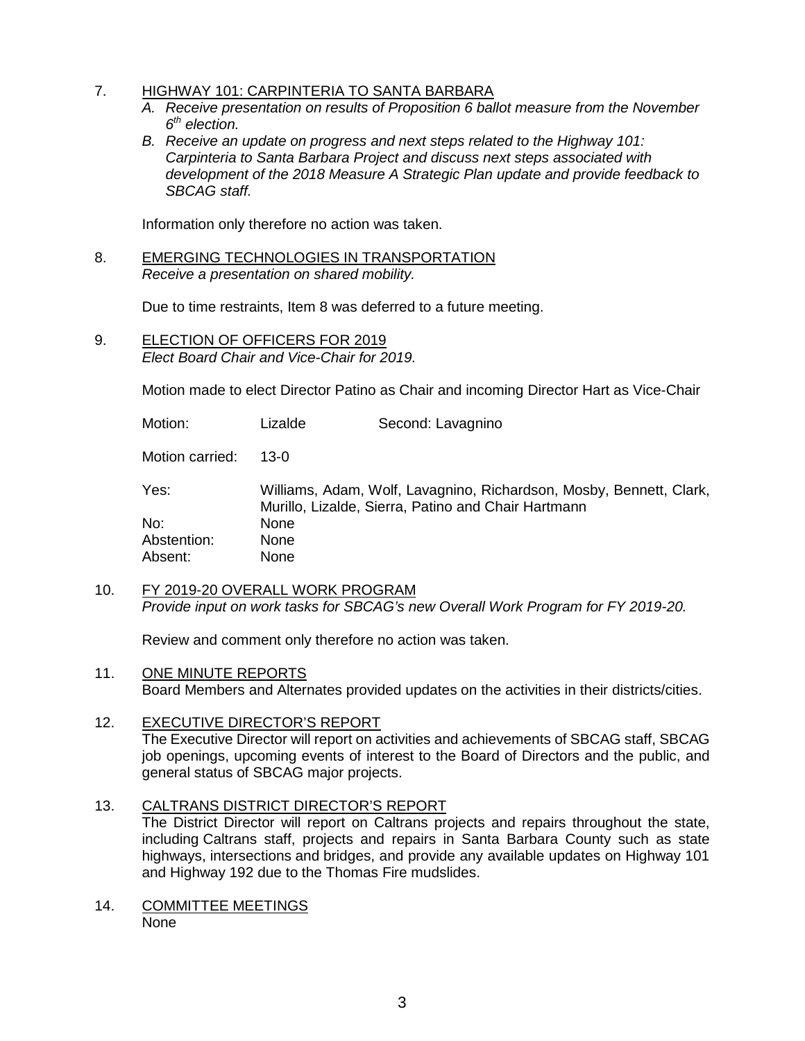- 7. HIGHWAY 101: CARPINTERIA TO SANTA BARBARA
	- *A. Receive presentation on results of Proposition 6 ballot measure from the November 6th election.*
	- *B. Receive an update on progress and next steps related to the Highway 101: Carpinteria to Santa Barbara Project and discuss next steps associated with development of the 2018 Measure A Strategic Plan update and provide feedback to SBCAG staff.*

Information only therefore no action was taken.

8. EMERGING TECHNOLOGIES IN TRANSPORTATION *Receive a presentation on shared mobility.*

Due to time restraints, Item 8 was deferred to a future meeting.

9. ELECTION OF OFFICERS FOR 2019 *Elect Board Chair and Vice-Chair for 2019.*

Motion made to elect Director Patino as Chair and incoming Director Hart as Vice-Chair

Motion: Lizalde Second: Lavagnino Motion carried: 13-0 Yes: Williams, Adam, Wolf, Lavagnino, Richardson, Mosby, Bennett, Clark, Murillo, Lizalde, Sierra, Patino and Chair Hartmann No: None Abstention: None Absent: None

10. FY 2019-20 OVERALL WORK PROGRAM *Provide input on work tasks for SBCAG's new Overall Work Program for FY 2019-20.*

Review and comment only therefore no action was taken.

#### 11. ONE MINUTE REPORTS

Board Members and Alternates provided updates on the activities in their districts/cities.

## 12. EXECUTIVE DIRECTOR'S REPORT

The Executive Director will report on activities and achievements of SBCAG staff, SBCAG job openings, upcoming events of interest to the Board of Directors and the public, and general status of SBCAG major projects.

## 13. CALTRANS DISTRICT DIRECTOR'S REPORT

The District Director will report on Caltrans projects and repairs throughout the state, including Caltrans staff, projects and repairs in Santa Barbara County such as state highways, intersections and bridges, and provide any available updates on Highway 101 and Highway 192 due to the Thomas Fire mudslides.

14. COMMITTEE MEETINGS None